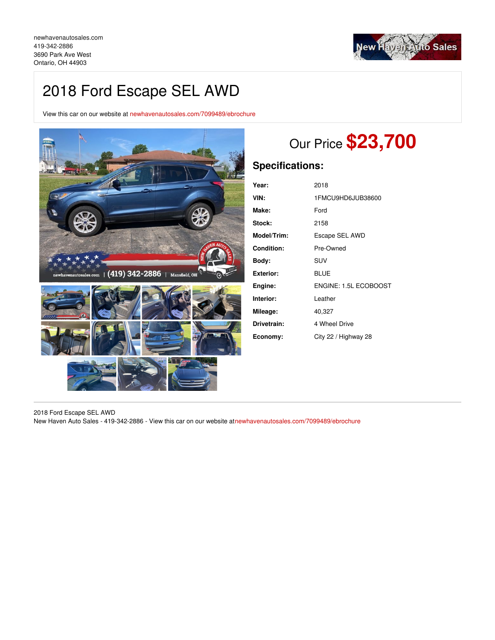

# 2018 Ford Escape SEL AWD

View this car on our website at [newhavenautosales.com/7099489/ebrochure](https://newhavenautosales.com/vehicle/7099489/2018-ford-escape-sel-awd-ontario-oh-44903/7099489/ebrochure)



# Our Price **\$23,700**

## **Specifications:**

| Year:             | 2018                  |
|-------------------|-----------------------|
| VIN:              | 1FMCU9HD6JUB38600     |
| Make:             | Ford                  |
| Stock:            | 2158                  |
| Model/Trim:       | Escape SEL AWD        |
| <b>Condition:</b> | Pre-Owned             |
| Body:             | SUV                   |
| <b>Exterior:</b>  | <b>BLUE</b>           |
| Engine:           | ENGINE: 1.5L ECOBOOST |
| Interior:         | Leather               |
| Mileage:          | 40,327                |
| Drivetrain:       | 4 Wheel Drive         |
| Economy:          | City 22 / Highway 28  |

2018 Ford Escape SEL AWD New Haven Auto Sales - 419-342-2886 - View this car on our website a[tnewhavenautosales.com/7099489/ebrochure](https://newhavenautosales.com/vehicle/7099489/2018-ford-escape-sel-awd-ontario-oh-44903/7099489/ebrochure)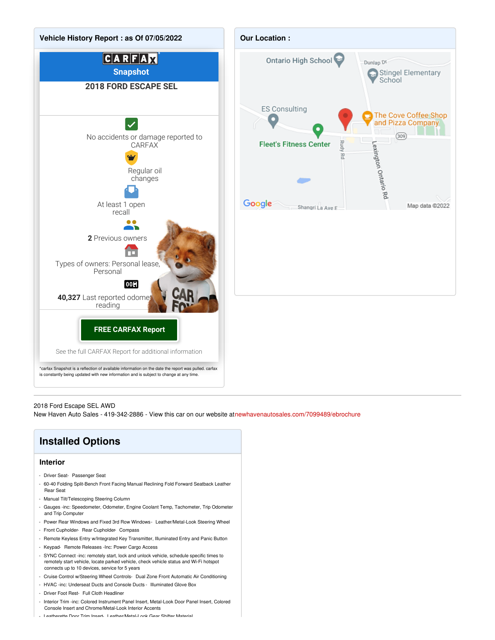

#### 2018 Ford Escape SEL AWD

New Haven Auto Sales - 419-342-2886 - View this car on our website a[tnewhavenautosales.com/7099489/ebrochure](https://newhavenautosales.com/vehicle/7099489/2018-ford-escape-sel-awd-ontario-oh-44903/7099489/ebrochure)

## **Installed Options**

#### **Interior**

- Driver Seat- Passenger Seat
- 60-40 Folding Split-Bench Front Facing Manual Reclining Fold Forward Seatback Leather Rear Seat
- Manual Tilt/Telescoping Steering Column
- Gauges -inc: Speedometer, Odometer, Engine Coolant Temp, Tachometer, Trip Odometer and Trip Computer
- Power Rear Windows and Fixed 3rd Row Windows- Leather/Metal-Look Steering Wheel
- Front Cupholder- Rear Cupholder- Compass
- Remote Keyless Entry w/Integrated Key Transmitter, Illuminated Entry and Panic Button
- Keypad- Remote Releases -Inc: Power Cargo Access
- SYNC Connect -inc: remotely start, lock and unlock vehicle, schedule specific times to remotely start vehicle, locate parked vehicle, check vehicle status and Wi-Fi hotspot connects up to 10 devices, service for 5 years
- Cruise Control w/Steering Wheel Controls- Dual Zone Front Automatic Air Conditioning
- HVAC -inc: Underseat Ducts and Console Ducts Illuminated Glove Box
- Driver Foot Rest- Full Cloth Headliner
- Interior Trim -inc: Colored Instrument Panel Insert, Metal-Look Door Panel Insert, Colored Console Insert and Chrome/Metal-Look Interior Accents
- Leatherette Door Trim Insert- Leather/Metal-Look Gear Shifter Material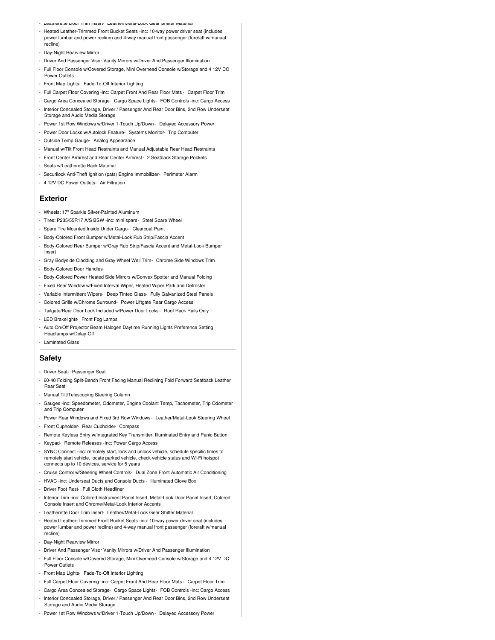- Leatherette Door Trim Insert- Leather/Metal-Look Gear Shifter Material
- Heated Leather-Trimmed Front Bucket Seats -inc: 10-way power driver seat (includes power lumbar and power recline) and 4-way manual front passenger (fore/aft w/manual recline)
- Day-Night Rearview Mirror
- Driver And Passenger Visor Vanity Mirrors w/Driver And Passenger Illumination
- Full Floor Console w/Covered Storage, Mini Overhead Console w/Storage and 4 12V DC Power Outlets
- Front Map Lights- Fade-To-Off Interior Lighting
- Full Carpet Floor Covering -inc: Carpet Front And Rear Floor Mats Carpet Floor Trim
- Cargo Area Concealed Storage- Cargo Space Lights- FOB Controls -inc: Cargo Access
- Interior Concealed Storage, Driver / Passenger And Rear Door Bins, 2nd Row Underseat Storage and Audio Media Storage
- Power 1st Row Windows w/Driver 1-Touch Up/Down Delayed Accessory Power
- Power Door Locks w/Autolock Feature- Systems Monitor- Trip Computer
- Outside Temp Gauge- Analog Appearance
- Manual w/Tilt Front Head Restraints and Manual Adjustable Rear Head Restraints
- Front Center Armrest and Rear Center Armrest- 2 Seatback Storage Pockets
- Seats w/Leatherette Back Material
- Securilock Anti-Theft Ignition (pats) Engine Immobilizer- Perimeter Alarm
- 4 12V DC Power Outlets- Air Filtration

#### **Exterior**

- Wheels: 17" Sparkle Silver-Painted Aluminum
- Tires: P235/55R17 A/S BSW -inc: mini spare- Steel Spare Wheel
- Spare Tire Mounted Inside Under Cargo- Clearcoat Paint
- Body-Colored Front Bumper w/Metal-Look Rub Strip/Fascia Accent
- Body-Colored Rear Bumper w/Gray Rub Strip/Fascia Accent and Metal-Look Bumper Insert
- Gray Bodyside Cladding and Gray Wheel Well Trim- Chrome Side Windows Trim
- Body-Colored Door Handles
- Body-Colored Power Heated Side Mirrors w/Convex Spotter and Manual Folding
- Fixed Rear Window w/Fixed Interval Wiper, Heated Wiper Park and Defroster
- Variable Intermittent Wipers- Deep Tinted Glass- Fully Galvanized Steel Panels
- Colored Grille w/Chrome Surround- Power Liftgate Rear Cargo Access
- Tailgate/Rear Door Lock Included w/Power Door Locks Roof Rack Rails Only
- LED Brakelights- Front Fog Lamps
- Auto On/Off Projector Beam Halogen Daytime Running Lights Preference Setting Headlamps w/Delay-Off
- Laminated Glass

#### **Safety**

- Driver Seat- Passenger Seat
- 60-40 Folding Split-Bench Front Facing Manual Reclining Fold Forward Seatback Leather Rear Seat
- Manual Tilt/Telescoping Steering Column
- Gauges -inc: Speedometer, Odometer, Engine Coolant Temp, Tachometer, Trip Odometer and Trip Computer
- Power Rear Windows and Fixed 3rd Row Windows- Leather/Metal-Look Steering Wheel - Front Cupholder- Rear Cupholder- Compass
- Remote Keyless Entry w/Integrated Key Transmitter, Illuminated Entry and Panic Button
- Keypad- Remote Releases -Inc: Power Cargo Access
- SYNC Connect -inc: remotely start, lock and unlock vehicle, schedule specific times to remotely start vehicle, locate parked vehicle, check vehicle status and Wi-Fi hotspot connects up to 10 devices, service for 5 years
- Cruise Control w/Steering Wheel Controls- Dual Zone Front Automatic Air Conditioning
- HVAC -inc: Underseat Ducts and Console Ducts Illuminated Glove Box
- Driver Foot Rest- Full Cloth Headliner
- Interior Trim -inc: Colored Instrument Panel Insert, Metal-Look Door Panel Insert, Colored Console Insert and Chrome/Metal-Look Interior Accents
- Leatherette Door Trim Insert- Leather/Metal-Look Gear Shifter Material
- Heated Leather-Trimmed Front Bucket Seats -inc: 10-way power driver seat (includes power lumbar and power recline) and 4-way manual front passenger (fore/aft w/manual recline)
- Dav-Night Rearview Mirror
- Driver And Passenger Visor Vanity Mirrors w/Driver And Passenger Illumination
- Full Floor Console w/Covered Storage, Mini Overhead Console w/Storage and 4 12V DC Power Outlets
- Front Map Lights- Fade-To-Off Interior Lighting
- Full Carpet Floor Covering -inc: Carpet Front And Rear Floor Mats Carpet Floor Trim
- Cargo Area Concealed Storage- Cargo Space Lights- FOB Controls -inc: Cargo Access
- Interior Concealed Storage, Driver / Passenger And Rear Door Bins, 2nd Row Underseat Storage and Audio Media Storage
- Power 1st Row Windows w/Driver 1-Touch Up/Down Delayed Accessory Power